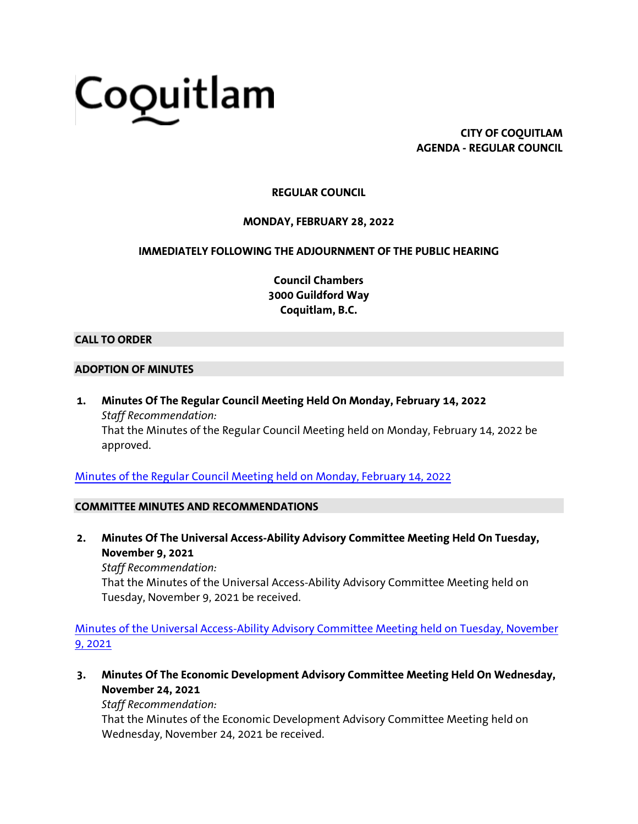# Coquitlam

**CITY OF COQUITLAM AGENDA - REGULAR COUNCIL**

# **REGULAR COUNCIL**

# **MONDAY, FEBRUARY 28, 2022**

# **IMMEDIATELY FOLLOWING THE ADJOURNMENT OF THE PUBLIC HEARING**

**Council Chambers 3000 Guildford Way Coquitlam, B.C.**

#### **CALL TO ORDER**

#### **ADOPTION OF MINUTES**

**1. Minutes Of The Regular Council Meeting Held On Monday, February 14, 2022** *Staff Recommendation:* That the Minutes of the Regular Council Meeting held on Monday, February 14, 2022 be approved.

[Minutes of the Regular Council Meeting held on Monday, February 14, 2022](https://coquitlam.ca.granicus.com/MetaViewer.php?view_id=2&event_id=1387&meta_id=53176)

#### **COMMITTEE MINUTES AND RECOMMENDATIONS**

**2. Minutes Of The Universal Access-Ability Advisory Committee Meeting Held On Tuesday, November 9, 2021**

*Staff Recommendation:* That the Minutes of the Universal Access-Ability Advisory Committee Meeting held on Tuesday, November 9, 2021 be received.

[Minutes of the Universal Access-Ability Advisory Committee Meeting held on Tuesday, November](https://coquitlam.ca.granicus.com/MetaViewer.php?view_id=2&event_id=1387&meta_id=53178)  [9, 2021](https://coquitlam.ca.granicus.com/MetaViewer.php?view_id=2&event_id=1387&meta_id=53178)

**3. Minutes Of The Economic Development Advisory Committee Meeting Held On Wednesday, November 24, 2021**

# *Staff Recommendation:*

That the Minutes of the Economic Development Advisory Committee Meeting held on Wednesday, November 24, 2021 be received.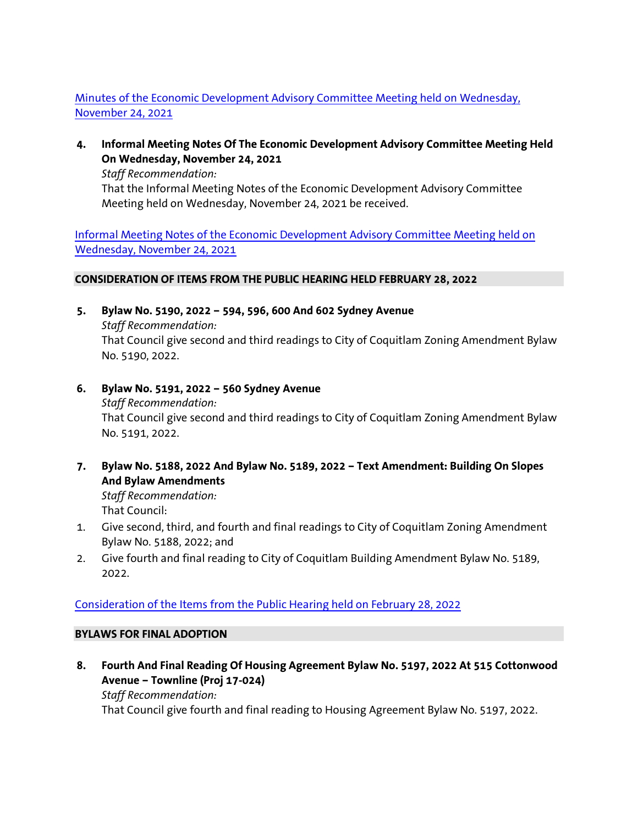# [Minutes of the Economic Development Advisory Committee Meeting held on Wednesday,](https://coquitlam.ca.granicus.com/MetaViewer.php?view_id=2&event_id=1387&meta_id=53180)  [November 24, 2021](https://coquitlam.ca.granicus.com/MetaViewer.php?view_id=2&event_id=1387&meta_id=53180)

**4. Informal Meeting Notes Of The Economic Development Advisory Committee Meeting Held On Wednesday, November 24, 2021**

*Staff Recommendation:*

That the Informal Meeting Notes of the Economic Development Advisory Committee Meeting held on Wednesday, November 24, 2021 be received.

[Informal Meeting Notes of the Economic Development Advisory Committee Meeting held on](https://coquitlam.ca.granicus.com/MetaViewer.php?view_id=2&event_id=1387&meta_id=53183)  [Wednesday, November 24, 2021](https://coquitlam.ca.granicus.com/MetaViewer.php?view_id=2&event_id=1387&meta_id=53183)

# **CONSIDERATION OF ITEMS FROM THE PUBLIC HEARING HELD FEBRUARY 28, 2022**

- **5. Bylaw No. 5190, 2022 – 594, 596, 600 And 602 Sydney Avenue** *Staff Recommendation:* That Council give second and third readings to City of Coquitlam Zoning Amendment Bylaw No. 5190, 2022.
- **6. Bylaw No. 5191, 2022 – 560 Sydney Avenue** *Staff Recommendation:* That Council give second and third readings to City of Coquitlam Zoning Amendment Bylaw No. 5191, 2022.
- **7. Bylaw No. 5188, 2022 And Bylaw No. 5189, 2022 – Text Amendment: Building On Slopes And Bylaw Amendments**

*Staff Recommendation:* That Council:

- 1. Give second, third, and fourth and final readings to City of Coquitlam Zoning Amendment Bylaw No. 5188, 2022; and
- 2. Give fourth and final reading to City of Coquitlam Building Amendment Bylaw No. 5189, 2022.

# [Consideration of the Items from the Public Hearing held on February 28, 2022](https://coquitlam.ca.granicus.com/MetaViewer.php?view_id=2&event_id=1387&meta_id=53185)

# **BYLAWS FOR FINAL ADOPTION**

**8. Fourth And Final Reading Of Housing Agreement Bylaw No. 5197, 2022 At 515 Cottonwood Avenue – Townline (Proj 17-024)** *Staff Recommendation:*

That Council give fourth and final reading to Housing Agreement Bylaw No. 5197, 2022.